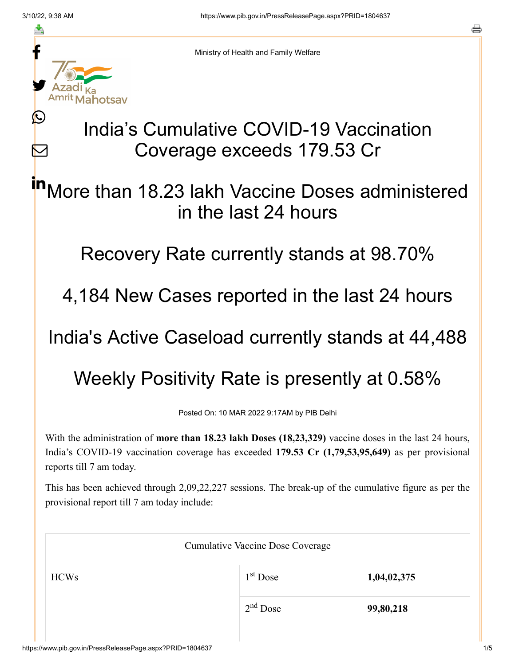≛

Ŀ

 $\bm{\nabla}$ 



Ministry of Health and Family Welfare

## India's Cumulative COVID-19 Vaccination Coverage exceeds 179.53 Cr

More than 18.23 lakh Vaccine Doses administered in the last 24 hours in

Recovery Rate currently stands at 98.70%

4,184 New Cases reported in the last 24 hours

India's Active Caseload currently stands at 44,488

Weekly Positivity Rate is presently at 0.58%

Posted On: 10 MAR 2022 9:17AM by PIB Delhi

With the administration of **more than 18.23 lakh Doses (18,23,329)** vaccine doses in the last 24 hours, India's COVID-19 vaccination coverage has exceeded **179.53 Cr (1,79,53,95,649)** as per provisional reports till 7 am today.

This has been achieved through 2,09,22,227 sessions. The break-up of the cumulative figure as per the provisional report till 7 am today include:

|             | <b>Cumulative Vaccine Dose Coverage</b> |             |  |
|-------------|-----------------------------------------|-------------|--|
| <b>HCWs</b> | $1st$ Dose                              | 1,04,02,375 |  |
|             | $2nd$ Dose                              | 99,80,218   |  |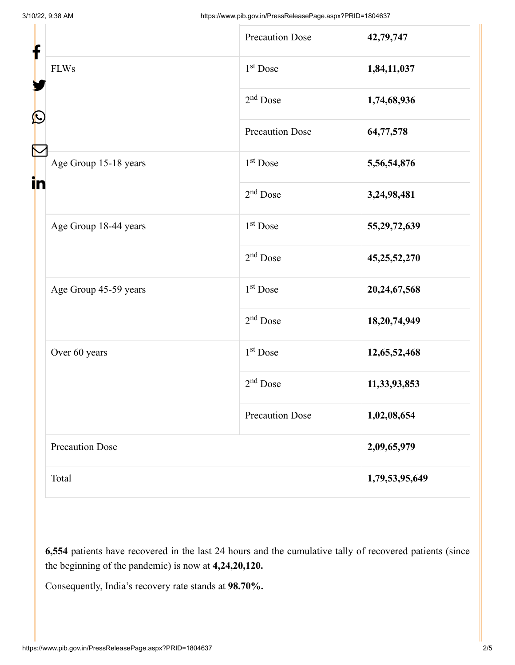| f<br>$\mathbf{\Omega}$<br>in |                        | <b>Precaution Dose</b> | 42,79,747       |
|------------------------------|------------------------|------------------------|-----------------|
|                              | <b>FLWs</b>            | $1st$ Dose             | 1,84,11,037     |
|                              |                        | 2 <sup>nd</sup> Dose   | 1,74,68,936     |
|                              |                        | <b>Precaution Dose</b> | 64,77,578       |
|                              | Age Group 15-18 years  | 1 <sup>st</sup> Dose   | 5,56,54,876     |
|                              |                        | $2nd$ Dose             | 3,24,98,481     |
|                              | Age Group 18-44 years  | 1 <sup>st</sup> Dose   | 55,29,72,639    |
|                              |                        | $2nd$ Dose             | 45, 25, 52, 270 |
|                              | Age Group 45-59 years  | $1st$ Dose             | 20,24,67,568    |
|                              |                        | $2nd$ Dose             | 18,20,74,949    |
|                              | Over 60 years          | $1st$ Dose             | 12,65,52,468    |
|                              |                        | $2nd$ Dose             | 11,33,93,853    |
|                              |                        | <b>Precaution Dose</b> | 1,02,08,654     |
|                              | <b>Precaution Dose</b> |                        | 2,09,65,979     |
|                              | Total                  |                        | 1,79,53,95,649  |

**6,554** patients have recovered in the last 24 hours and the cumulative tally of recovered patients (since the beginning of the pandemic) is now at **4,24,20,120.**

Consequently, India's recovery rate stands at **98.70%.**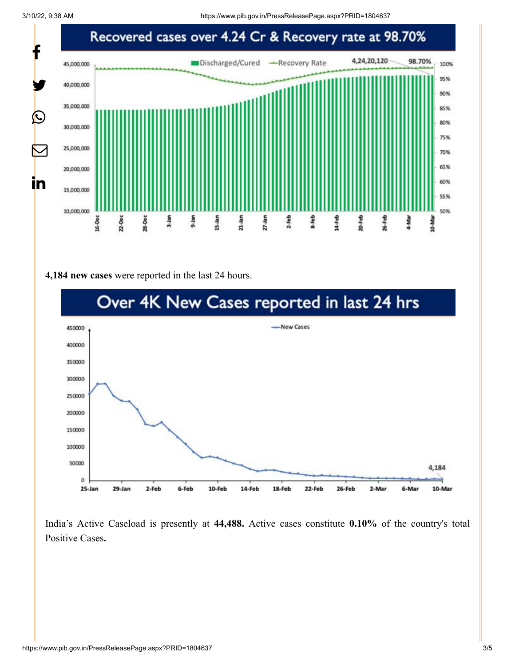

## **4,184 new cases** were reported in the last 24 hours.



India's Active Caseload is presently at **44,488.** Active cases constitute **0.10%** of the country's total Positive Cases**.**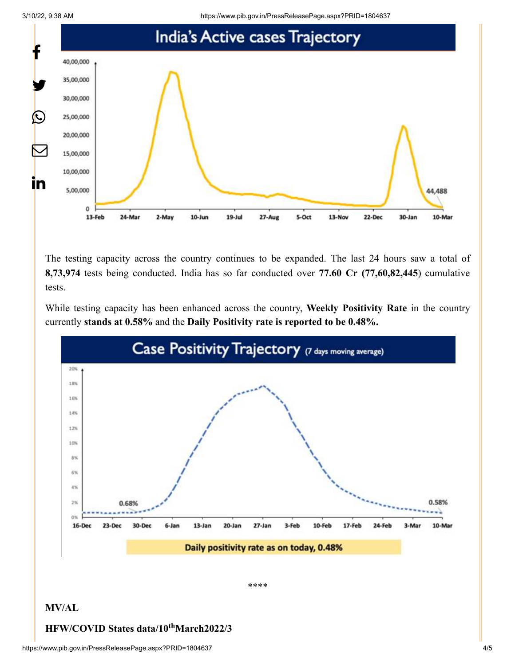3/10/22, 9:38 AM https://www.pib.gov.in/PressReleasePage.aspx?PRID=1804637



The testing capacity across the country continues to be expanded. The last 24 hours saw a total of **8,73,974** tests being conducted. India has so far conducted over **77.60 Cr (77,60,82,445**) cumulative tests.

While testing capacity has been enhanced across the country, **Weekly Positivity Rate** in the country currently **stands at 0.58%** and the **Daily Positivity rate is reported to be 0.48%.**